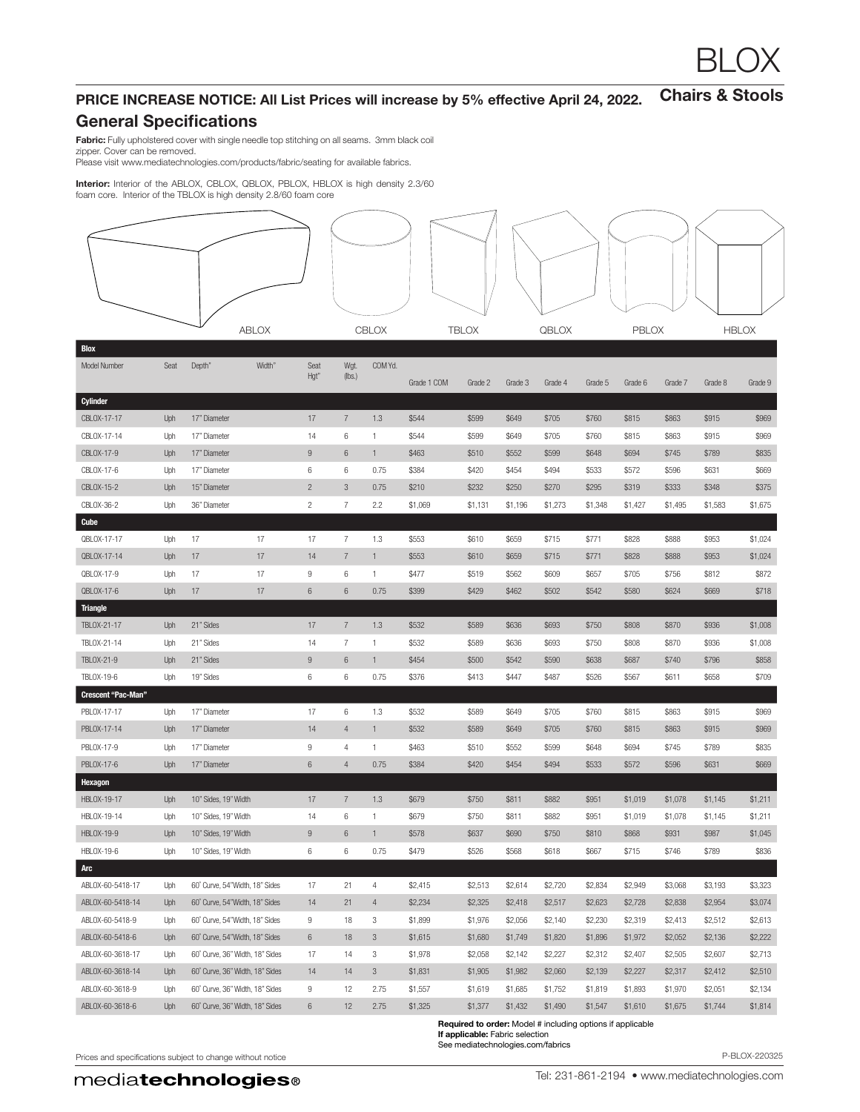## Chairs & Stools PRICE INCREASE NOTICE: All List Prices will increase by 5% effective April 24, 2022.

## General Specifications

Fabric: Fully upholstered cover with single needle top stitching on all seams. 3mm black coil zipper. Cover can be removed.

Please visit www.mediatechnologies.com/products/fabric/seating for available fabrics.

**Interior:** Interior of the ABLOX, CBLOX, QBLOX, PBLOX, HBLOX is high density 2.3/60<br>foam core. Interior of the TBLOX is high density 2.8/60 foam core

|                           | <b>ABLOX</b> |                                 |        | CBLOX            |                  |                | <b>TBLOX</b> |         | QBLOX   |         | PBLOX   |         |         | <b>HBLOX</b> |         |
|---------------------------|--------------|---------------------------------|--------|------------------|------------------|----------------|--------------|---------|---------|---------|---------|---------|---------|--------------|---------|
| <b>Blox</b>               |              |                                 |        |                  |                  |                |              |         |         |         |         |         |         |              |         |
| Model Number              | Seat         | Depth"                          | Width" | Seat<br>Hgt"     | Wgt.<br>(lbs.)   | COM Yd.        | Grade 1 COM  | Grade 2 | Grade 3 | Grade 4 | Grade 5 | Grade 6 | Grade 7 | Grade 8      | Grade 9 |
| Cylinder                  |              |                                 |        |                  |                  |                |              |         |         |         |         |         |         |              |         |
| CBLOX-17-17               | Uph          | 17" Diameter                    |        | 17               | $\overline{7}$   | 1.3            | \$544        | \$599   | \$649   | \$705   | \$760   | \$815   | \$863   | \$915        | \$969   |
| CBLOX-17-14               | Uph          | 17" Diameter                    |        | 14               | 6                | -1             | \$544        | \$599   | \$649   | \$705   | \$760   | \$815   | \$863   | \$915        | \$969   |
| CBLOX-17-9                | Uph          | 17" Diameter                    |        | $\boldsymbol{9}$ | $6\,$            | $\mathbf{1}$   | \$463        | \$510   | \$552   | \$599   | \$648   | \$694   | \$745   | \$789        | \$835   |
| CBLOX-17-6                | Uph          | 17" Diameter                    |        | 6                | 6                | 0.75           | \$384        | \$420   | \$454   | \$494   | \$533   | \$572   | \$596   | \$631        | \$669   |
| CBLOX-15-2                | Uph          | 15" Diameter                    |        | $\overline{c}$   | $\mathbf{3}$     | 0.75           | \$210        | \$232   | \$250   | \$270   | \$295   | \$319   | \$333   | \$348        | \$375   |
| CBLOX-36-2                | Uph          | 36" Diameter                    |        | $\overline{c}$   | $\overline{7}$   | 2.2            | \$1,069      | \$1,131 | \$1,196 | \$1,273 | \$1,348 | \$1,427 | \$1,495 | \$1,583      | \$1,675 |
| <b>Cube</b>               |              |                                 |        |                  |                  |                |              |         |         |         |         |         |         |              |         |
| QBLOX-17-17               | Uph          | 17                              | 17     | 17               | $\boldsymbol{7}$ | 1.3            | \$553        | \$610   | \$659   | \$715   | \$771   | \$828   | \$888   | \$953        | \$1,024 |
| QBLOX-17-14               | Uph          | 17                              | 17     | 14               | $\overline{7}$   | $\mathbf{1}$   | \$553        | \$610   | \$659   | \$715   | \$771   | \$828   | \$888   | \$953        | \$1,024 |
| QBLOX-17-9                | Uph          | 17                              | 17     | $\,9$            | 6                | 1              | \$477        | \$519   | \$562   | \$609   | \$657   | \$705   | \$756   | \$812        | \$872   |
| QBLOX-17-6                | Uph          | 17                              | 17     | 6                | $6\,$            | 0.75           | \$399        | \$429   | \$462   | \$502   | \$542   | \$580   | \$624   | \$669        | \$718   |
| <b>Triangle</b>           |              |                                 |        |                  |                  |                |              |         |         |         |         |         |         |              |         |
| TBLOX-21-17               | Uph          | 21" Sides                       |        | 17               | $\overline{7}$   | 1.3            | \$532        | \$589   | \$636   | \$693   | \$750   | \$808   | \$870   | \$936        | \$1,008 |
| TBLOX-21-14               | Uph          | 21" Sides                       |        | 14               | $\overline{7}$   | $\mathbf{1}$   | \$532        | \$589   | \$636   | \$693   | \$750   | \$808   | \$870   | \$936        | \$1,008 |
| TBLOX-21-9                | Uph          | 21" Sides                       |        | $9\,$            | $6\,$            | $\mathbf{1}$   | \$454        | \$500   | \$542   | \$590   | \$638   | \$687   | \$740   | \$796        | \$858   |
| TBLOX-19-6                | Uph          | 19" Sides                       |        | 6                | 6                | 0.75           | \$376        | \$413   | \$447   | \$487   | \$526   | \$567   | \$611   | \$658        | \$709   |
| <b>Crescent "Pac-Man"</b> |              |                                 |        |                  |                  |                |              |         |         |         |         |         |         |              |         |
| PBLOX-17-17               | Uph          | 17" Diameter                    |        | 17               | $\,6$            | 1.3            | \$532        | \$589   | \$649   | \$705   | \$760   | \$815   | \$863   | \$915        | \$969   |
| PBLOX-17-14               | Uph          | 17" Diameter                    |        | 14               | $\overline{4}$   | $\mathbf{1}$   | \$532        | \$589   | \$649   | \$705   | \$760   | \$815   | \$863   | \$915        | \$969   |
| PBLOX-17-9                | Uph          | 17" Diameter                    |        | $\boldsymbol{9}$ | $\overline{4}$   | -1             | \$463        | \$510   | \$552   | \$599   | \$648   | \$694   | \$745   | \$789        | \$835   |
| PBLOX-17-6                | Uph          | 17" Diameter                    |        | $\,6\,$          | $\sqrt{4}$       | 0.75           | \$384        | \$420   | \$454   | \$494   | \$533   | \$572   | \$596   | \$631        | \$669   |
| Hexagon                   |              |                                 |        |                  |                  |                |              |         |         |         |         |         |         |              |         |
| HBLOX-19-17               | Uph          | 10" Sides, 19" Width            |        | 17               | $\overline{7}$   | 1.3            | \$679        | \$750   | \$811   | \$882   | \$951   | \$1,019 | \$1,078 | \$1,145      | \$1,211 |
| HBLOX-19-14               | Uph          | 10" Sides, 19" Width            |        | 14               | $\,6$            | $\mathbf{1}$   | \$679        | \$750   | \$811   | \$882   | \$951   | \$1,019 | \$1,078 | \$1,145      | \$1,211 |
| <b>HBLOX-19-9</b>         | Uph          | 10" Sides, 19" Width            |        | 9                | $6\phantom{1}6$  | $\overline{1}$ | \$578        | \$637   | \$690   | \$750   | \$810   | \$868   | \$931   | \$987        | \$1,045 |
| HBLOX-19-6                | Uph          | 10" Sides, 19" Width            |        | $\,6$            | 6                | 0.75           | \$479        | \$526   | \$568   | \$618   | \$667   | \$715   | \$746   | \$789        | \$836   |
| Arc                       |              |                                 |        |                  |                  |                |              |         |         |         |         |         |         |              |         |
| ABLOX-60-5418-17          | Uph          | 60° Curve, 54" Width, 18" Sides |        | 17               | 21               | 4              | \$2,415      | \$2,513 | \$2,614 | \$2,720 | \$2,834 | \$2,949 | \$3,068 | \$3,193      | \$3,323 |
| ABLOX-60-5418-14          | Uph          | 60° Curve, 54" Width, 18" Sides |        | 14               | 21               | $\overline{4}$ | \$2,234      | \$2,325 | \$2,418 | \$2,517 | \$2,623 | \$2,728 | \$2,838 | \$2,954      | \$3,074 |
| ABLOX-60-5418-9           | Uph          | 60° Curve, 54"Width, 18" Sides  |        | 9                | 18               | 3              | \$1,899      | \$1,976 | \$2,056 | \$2,140 | \$2,230 | \$2,319 | \$2,413 | \$2,512      | \$2,613 |
| ABLOX-60-5418-6           | Uph          | 60° Curve, 54" Width, 18" Sides |        | 6                | 18               | $\mathbf{3}$   | \$1,615      | \$1,680 | \$1,749 | \$1,820 | \$1,896 | \$1,972 | \$2,052 | \$2,136      | \$2,222 |
| ABLOX-60-3618-17          | Uph          | 60° Curve, 36" Width, 18" Sides |        | 17               | 14               | 3              | \$1,978      | \$2,058 | \$2,142 | \$2,227 | \$2,312 | \$2,407 | \$2,505 | \$2,607      | \$2,713 |
| ABLOX-60-3618-14          | Uph          | 60° Curve, 36" Width, 18" Sides |        | 14               | 14               | 3              | \$1,831      | \$1,905 | \$1,982 | \$2,060 | \$2,139 | \$2,227 | \$2,317 | \$2,412      | \$2,510 |
| ABLOX-60-3618-9           | Uph          | 60° Curve, 36" Width, 18" Sides |        | 9                | 12               | 2.75           | \$1,557      | \$1,619 | \$1,685 | \$1,752 | \$1,819 | \$1,893 | \$1,970 | \$2,051      | \$2,134 |
| ABLOX-60-3618-6           | Uph          | 60° Curve, 36" Width, 18" Sides |        | 6                | 12               | 2.75           | \$1,325      | \$1,377 | \$1,432 | \$1,490 | \$1,547 | \$1,610 | \$1,675 | \$1,744      | \$1,814 |

Required to order: Model # including options if applicable If applicable: Fabric selection See mediatechnologies.com/fabrics

Prices and specifications subject to change without notice **P-BLOX-220325** P-BLOX-220325